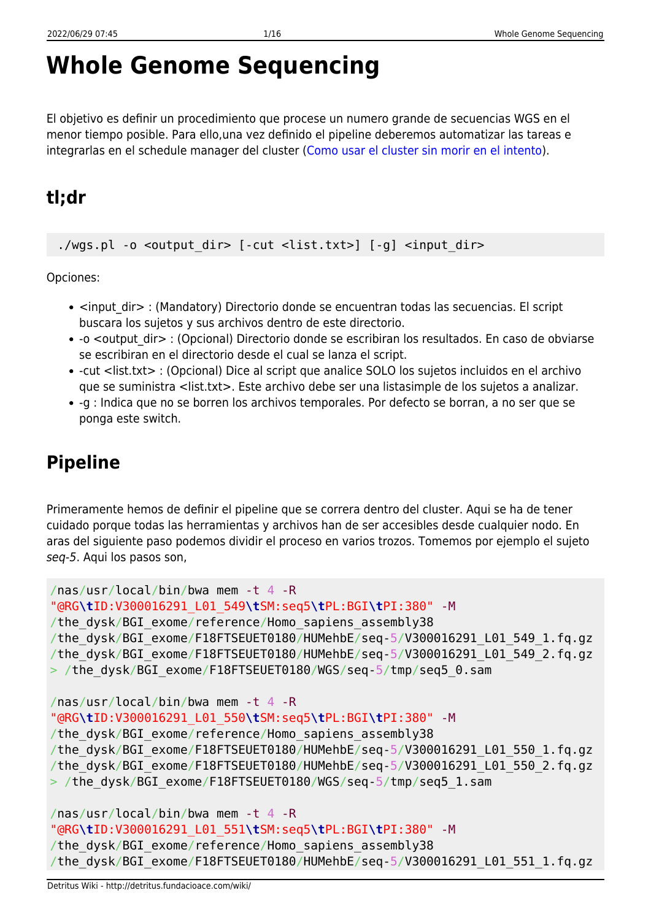# **Whole Genome Sequencing**

El objetivo es definir un procedimiento que procese un numero grande de secuencias WGS en el menor tiempo posible. Para ello,una vez definido el pipeline deberemos automatizar las tareas e integrarlas en el schedule manager del cluster ([Como usar el cluster sin morir en el intento\)](http://detritus.fundacioace.com/wiki/doku.php?id=cluster).

# **tl;dr**

./wgs.pl -o <output dir> [-cut <list.txt>] [-g] <input dir>

Opciones:

- <input dir> : (Mandatory) Directorio donde se encuentran todas las secuencias. El script buscara los sujetos y sus archivos dentro de este directorio.
- -o <output dir> : (Opcional) Directorio donde se escribiran los resultados. En caso de obviarse se escribiran en el directorio desde el cual se lanza el script.
- -cut <list.txt> : (Opcional) Dice al script que analice SOLO los sujetos incluidos en el archivo que se suministra <list.txt>. Este archivo debe ser una listasimple de los sujetos a analizar.
- -g : Indica que no se borren los archivos temporales. Por defecto se borran, a no ser que se ponga este switch.

# **Pipeline**

Primeramente hemos de definir el pipeline que se correra dentro del cluster. Aqui se ha de tener cuidado porque todas las herramientas y archivos han de ser accesibles desde cualquier nodo. En aras del siguiente paso podemos dividir el proceso en varios trozos. Tomemos por ejemplo el sujeto seq-5. Aqui los pasos son,

```
/nas/usr/local/bin/bwa mem -t 4 -R
"@RG\tID:V300016291_L01_549\tSM:seq5\tPL:BGI\tPI:380" -M
/the_dysk/BGI_exome/reference/Homo_sapiens_assembly38
/the_dysk/BGI_exome/F18FTSEUET0180/HUMehbE/seq-5/V300016291_L01_549_1.fq.gz
/the_dysk/BGI_exome/F18FTSEUET0180/HUMehbE/seq-5/V300016291_L01_549_2.fq.gz
> /the dysk/BGI exome/F18FTSEUET0180/WGS/seq-5/tmp/seq5 0.sam
/nas/usr/local/bin/bwa mem -t 4 -R
"@RG\tID:V300016291_L01_550\tSM:seq5\tPL:BGI\tPI:380" -M
/the_dysk/BGI_exome/reference/Homo_sapiens_assembly38
/the_dysk/BGI_exome/F18FTSEUET0180/HUMehbE/seq-5/V300016291_L01_550_1.fq.gz
/the_dysk/BGI_exome/F18FTSEUET0180/HUMehbE/seq-5/V300016291_L01_550_2.fq.gz
> /the_dysk/BGI_exome/F18FTSEUET0180/WGS/seq-5/tmp/seq5_1.sam
/nas/usr/local/bin/bwa mem -t 4 -R
```

```
"@RG\tID:V300016291_L01_551\tSM:seq5\tPL:BGI\tPI:380" -M
```

```
/the dysk/BGI exome/reference/Homo sapiens assembly38
```

```
/the dysk/BGI exome/F18FTSEUET0180/HUMehbE/seq-5/V300016291 L01 551 1.fq.gz
```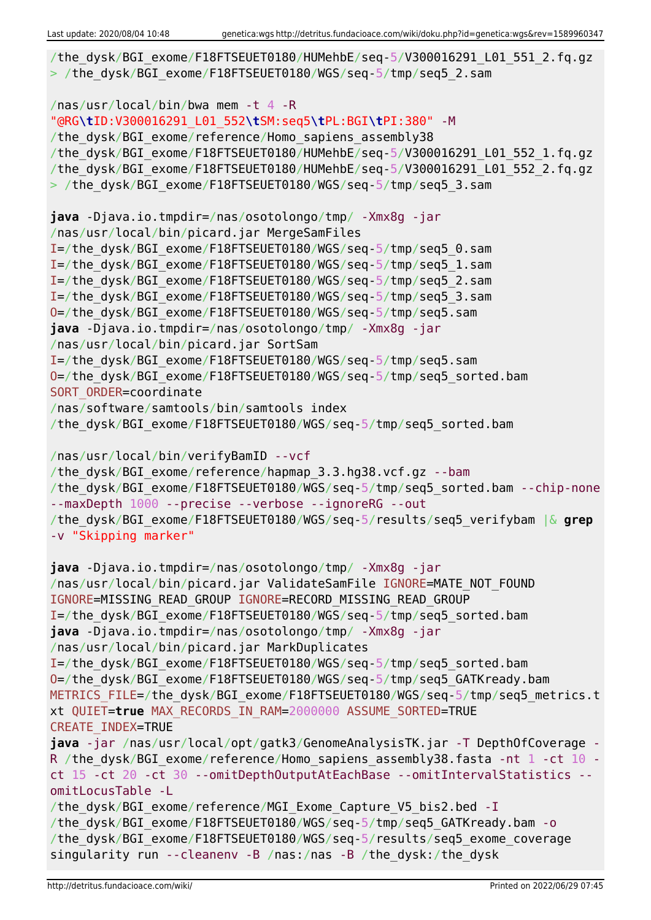```
/the dysk/BGI exome/F18FTSEUET0180/HUMehbE/seq-5/V300016291 L01 551 2.fq.gz
> /the dysk/BGI exome/F18FTSEUET0180/WGS/seq-5/tmp/seq5_2.sam
/nas/usr/local/bin/bwa mem -t 4 -R
"@RG\tID:V300016291_L01_552\tSM:seq5\tPL:BGI\tPI:380" -M
/the dysk/BGI exome/reference/Homo sapiens assembly38
/the_dysk/BGI_exome/F18FTSEUET0180/HUMehbE/seq-5/V300016291_L01_552_1.fq.gz
/the_dysk/BGI_exome/F18FTSEUET0180/HUMehbE/seq-5/V300016291_L01_552_2.fq.gz
> /the dysk/BGI exome/F18FTSEUET0180/WGS/seq-5/tmp/seq5 3.sam
java -Djava.io.tmpdir=/nas/osotolongo/tmp/ -Xmx8g -jar
/nas/usr/local/bin/picard.jar MergeSamFiles
I=/the_dysk/BGI_exome/F18FTSEUET0180/WGS/seq-5/tmp/seq5_0.sam
I=/the_dysk/BGI_exome/F18FTSEUET0180/WGS/seq-5/tmp/seq5_1.sam
I=/the_dysk/BGI_exome/F18FTSEUET0180/WGS/seq-5/tmp/seq5_2.sam
I=/the_dysk/BGI_exome/F18FTSEUET0180/WGS/seq-5/tmp/seq5_3.sam
O=/the_dysk/BGI_exome/F18FTSEUET0180/WGS/seq-5/tmp/seq5.sam
java -Djava.io.tmpdir=/nas/osotolongo/tmp/ -Xmx8g -jar
/nas/usr/local/bin/picard.jar SortSam
I=/the_dysk/BGI_exome/F18FTSEUET0180/WGS/seq-5/tmp/seq5.sam
O=/the_dysk/BGI_exome/F18FTSEUET0180/WGS/seq-5/tmp/seq5_sorted.bam
SORT ORDER=coordinate
/nas/software/samtools/bin/samtools index
/the_dysk/BGI_exome/F18FTSEUET0180/WGS/seq-5/tmp/seq5_sorted.bam
/nas/usr/local/bin/verifyBamID --vcf
/the dysk/BGI exome/reference/hapmap 3.3.hg38.vcf.gz --bam
/the dysk/BGI exome/F18FTSEUET0180/WGS/seq-5/tmp/seq5 sorted.bam --chip-none
--maxDepth 1000 --precise --verbose --ignoreRG --out
/the_dysk/BGI_exome/F18FTSEUET0180/WGS/seq-5/results/seq5_verifybam |& grep
-v "Skipping marker"
java -Djava.io.tmpdir=/nas/osotolongo/tmp/ -Xmx8g -jar
/nas/usr/local/bin/picard.jar ValidateSamFile IGNORE=MATE_NOT_FOUND
IGNORE=MISSING_READ_GROUP IGNORE=RECORD_MISSING_READ_GROUP
I=/the_dysk/BGI_exome/F18FTSEUET0180/WGS/seq-5/tmp/seq5_sorted.bam
java -Djava.io.tmpdir=/nas/osotolongo/tmp/ -Xmx8g -jar
/nas/usr/local/bin/picard.jar MarkDuplicates
I=/the_dysk/BGI_exome/F18FTSEUET0180/WGS/seq-5/tmp/seq5_sorted.bam
O=/the_dysk/BGI_exome/F18FTSEUET0180/WGS/seq-5/tmp/seq5_GATKready.bam
METRICS FILE=/the dysk/BGI exome/F18FTSEUET0180/WGS/seq-5/tmp/seq5 metrics.t
xt QUIET=true MAX_RECORDS_IN_RAM=2000000 ASSUME_SORTED=TRUE
CREATE_INDEX=TRUE
java -jar /nas/usr/local/opt/gatk3/GenomeAnalysisTK.jar -T DepthOfCoverage -
R /the dysk/BGI exome/reference/Homo sapiens assembly38.fasta -nt 1 -ct 10 -
ct 15 -ct 20 -ct 30 --omitDepthOutputAtEachBase --omitIntervalStatistics --
omitLocusTable -L
/the dysk/BGI exome/reference/MGI Exome Capture V5 bis2.bed -I
/the_dysk/BGI_exome/F18FTSEUET0180/WGS/seq-5/tmp/seq5_GATKready.bam -o
/the_dysk/BGI_exome/F18FTSEUET0180/WGS/seq-5/results/seq5_exome_coverage
singularity run --cleanenv -B /nas:/nas -B /the_dysk:/the_dysk
```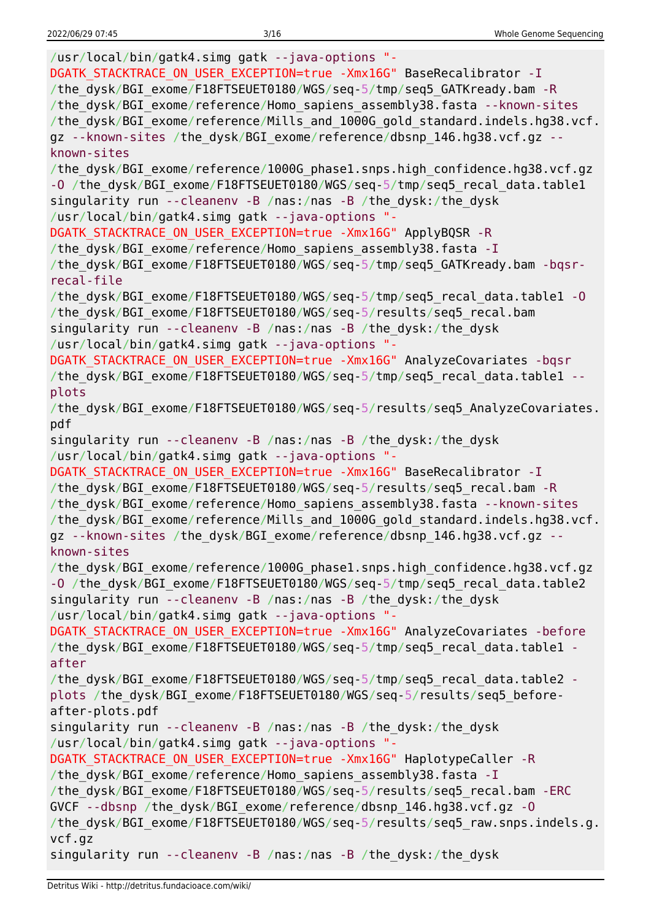/usr/local/bin/gatk4.simg gatk --java-options "- DGATK STACKTRACE ON USER EXCEPTION=true -Xmx16G" BaseRecalibrator -I /the\_dysk/BGI\_exome/F18FTSEUET0180/WGS/seq-5/tmp/seq5\_GATKready.bam -R /the\_dysk/BGI\_exome/reference/Homo\_sapiens\_assembly38.fasta --known-sites /the\_dysk/BGI\_exome/reference/Mills\_and\_1000G\_gold\_standard.indels.hg38.vcf. gz --known-sites /the dysk/BGI exome/reference/dbsnp 146.hg38.vcf.gz -known-sites /the\_dysk/BGI\_exome/reference/1000G\_phase1.snps.high\_confidence.hg38.vcf.gz -O /the dysk/BGI exome/F18FTSEUET0180/WGS/seq-5/tmp/seq5 recal data.table1 singularity run --cleanenv -B /nas:/nas -B /the\_dysk:/the\_dysk /usr/local/bin/gatk4.simg gatk --java-options "- DGATK\_STACKTRACE\_ON\_USER\_EXCEPTION=true -Xmx16G" ApplyBQSR -R /the dysk/BGI exome/reference/Homo sapiens assembly38.fasta -I /the\_dysk/BGI\_exome/F18FTSEUET0180/WGS/seq-5/tmp/seq5\_GATKready.bam -bqsrrecal-file /the\_dysk/BGI\_exome/F18FTSEUET0180/WGS/seq-5/tmp/seq5\_recal\_data.table1 -O /the\_dysk/BGI\_exome/F18FTSEUET0180/WGS/seq-5/results/seq5\_recal.bam singularity run --cleanenv -B /nas:/nas -B /the\_dysk:/the\_dysk /usr/local/bin/gatk4.simg gatk --java-options "- DGATK STACKTRACE ON USER EXCEPTION=true -Xmx16G" AnalyzeCovariates -bqsr /the dysk/BGI exome/F18FTSEUET0180/WGS/seq-5/tmp/seq5\_recal\_data.table1 -plots /the dysk/BGI exome/F18FTSEUET0180/WGS/seq-5/results/seq5 AnalyzeCovariates. pdf singularity run --cleanenv -B /nas:/nas -B /the\_dysk:/the\_dysk /usr/local/bin/gatk4.simg gatk --java-options "- DGATK STACKTRACE ON USER EXCEPTION=true -Xmx16G" BaseRecalibrator -I /the dysk/BGI exome/F18FTSEUET0180/WGS/seq-5/results/seq5 recal.bam -R /the dysk/BGI exome/reference/Homo sapiens assembly38.fasta --known-sites /the\_dysk/BGI\_exome/reference/Mills\_and\_1000G\_gold\_standard.indels.hg38.vcf. gz --known-sites /the dysk/BGI exome/reference/dbsnp 146.hg38.vcf.gz -known-sites /the\_dysk/BGI\_exome/reference/1000G\_phase1.snps.high\_confidence.hg38.vcf.gz -O /the dysk/BGI exome/F18FTSEUET0180/WGS/seq-5/tmp/seq5 recal data.table2 singularity run --cleanenv -B /nas:/nas -B /the\_dysk:/the\_dysk /usr/local/bin/gatk4.simg gatk --java-options "- DGATK STACKTRACE ON USER EXCEPTION=true -Xmx16G" AnalyzeCovariates -before /the dysk/BGI exome/F18FTSEUET0180/WGS/seq-5/tmp/seq5 recal data.table1 after /the\_dysk/BGI\_exome/F18FTSEUET0180/WGS/seq-5/tmp/seq5\_recal\_data.table2 plots /the\_dysk/BGI\_exome/F18FTSEUET0180/WGS/seq-5/results/seq5\_beforeafter-plots.pdf singularity run --cleanenv -B /nas:/nas -B /the\_dysk:/the\_dysk /usr/local/bin/gatk4.simg gatk --java-options "- DGATK STACKTRACE ON USER EXCEPTION=true -Xmx16G" HaplotypeCaller -R /the dysk/BGI exome/reference/Homo sapiens assembly38.fasta -I /the\_dysk/BGI\_exome/F18FTSEUET0180/WGS/seq-5/results/seq5\_recal.bam -ERC GVCF --dbsnp /the\_dysk/BGI\_exome/reference/dbsnp\_146.hg38.vcf.gz -O /the\_dysk/BGI\_exome/F18FTSEUET0180/WGS/seq-5/results/seq5\_raw.snps.indels.g. vcf.gz singularity run --cleanenv -B /nas:/nas -B /the\_dysk:/the\_dysk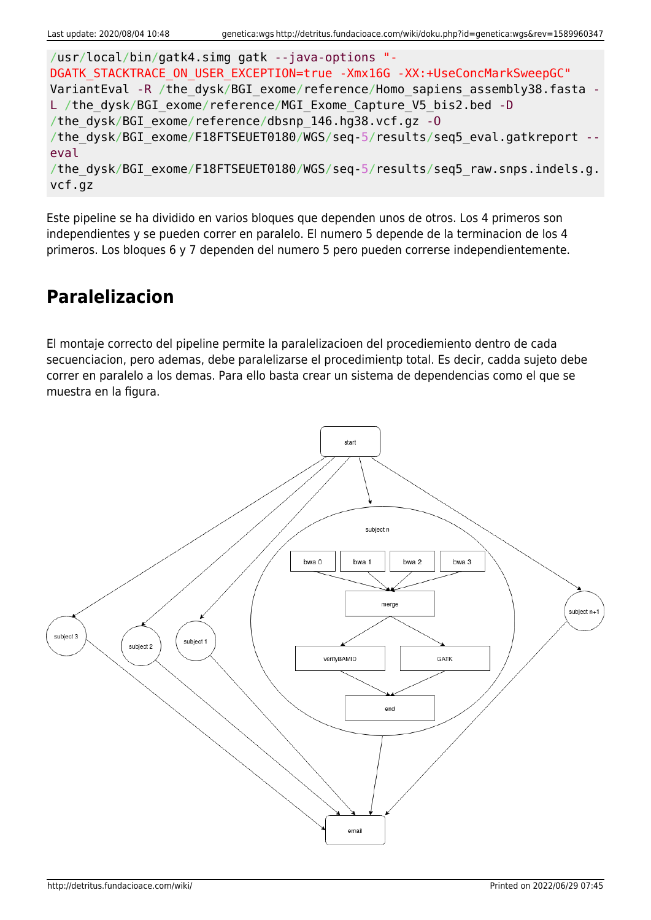```
/usr/local/bin/gatk4.simg gatk --java-options "-
DGATK STACKTRACE ON USER EXCEPTION=true -Xmx16G -XX:+UseConcMarkSweepGC"
VariantEval -R /the dysk/BGI exome/reference/Homo sapiens assembly38.fasta -
L /the dysk/BGI exome/reference/MGI Exome Capture V5 bis2.bed -D
/the_dysk/BGI_exome/reference/dbsnp_146.hg38.vcf.gz -O
/the dysk/BGI exome/F18FTSEUET0180/WGS/seq-5/results/seq5 eval.gatkreport --
eval
/the dysk/BGI exome/F18FTSEUET0180/WGS/seq-5/results/seq5 raw.snps.indels.g.
vcf.gz
```
Este pipeline se ha dividido en varios bloques que dependen unos de otros. Los 4 primeros son independientes y se pueden correr en paralelo. El numero 5 depende de la terminacion de los 4 primeros. Los bloques 6 y 7 dependen del numero 5 pero pueden correrse independientemente.

# **Paralelizacion**

El montaje correcto del pipeline permite la paralelizacioen del procediemiento dentro de cada secuenciacion, pero ademas, debe paralelizarse el procedimientp total. Es decir, cadda sujeto debe correr en paralelo a los demas. Para ello basta crear un sistema de dependencias como el que se muestra en la figura.

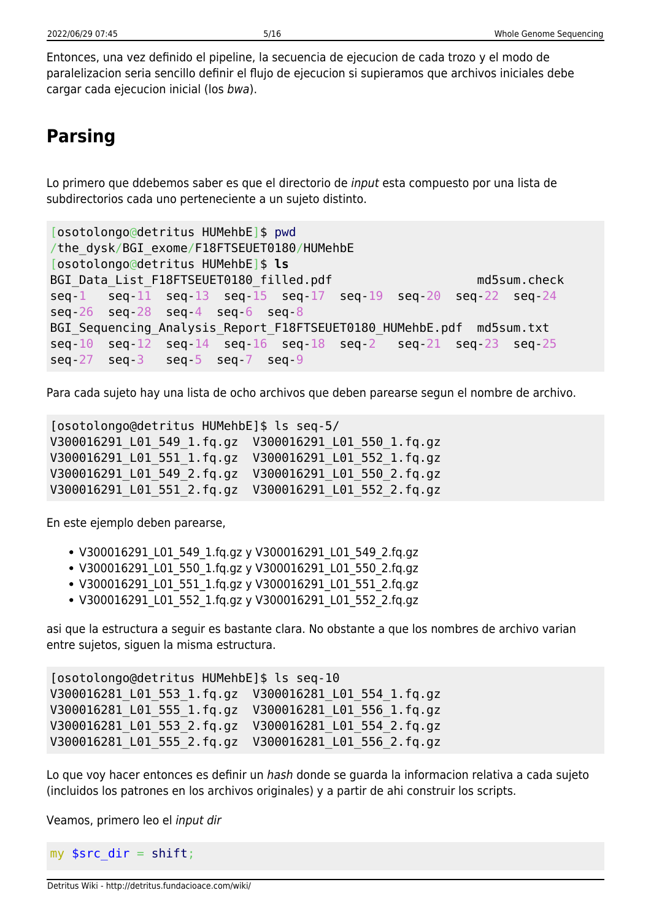Entonces, una vez definido el pipeline, la secuencia de ejecucion de cada trozo y el modo de paralelizacion seria sencillo definir el flujo de ejecucion si supieramos que archivos iniciales debe cargar cada ejecucion inicial (los bwa).

# **Parsing**

Lo primero que ddebemos saber es que el directorio de input esta compuesto por una lista de subdirectorios cada uno perteneciente a un sujeto distinto.

```
[osotolongo@detritus HUMehbE]$ pwd
/the_dysk/BGI_exome/F18FTSEUET0180/HUMehbE
[osotolongo@detritus HUMehbE]$ ls
BGI Data List F18FTSEUET0180 filled.pdf md5sum.check
seq-1 seq-11 seq-13 seq-15 seq-17 seq-19 seq-20 seq-22 seq-24
seq-26 seq-28 seq-4 seq-6 seq-8
BGI Sequencing Analysis Report F18FTSEUET0180 HUMehbE.pdf md5sum.txt
seq-10 seq-12 seq-14 seq-16 seq-18 seq-2 seq-21 seq-23 seq-25
seq-27 seq-3 seq-5 seq-7 seq-9
```
Para cada sujeto hay una lista de ocho archivos que deben parearse segun el nombre de archivo.

[osotolongo@detritus HUMehbE]\$ ls seq-5/ V300016291\_L01\_549\_1.fq.gz V300016291\_L01\_550\_1.fq.gz V300016291\_L01\_551\_1.fq.gz V300016291\_L01\_552\_1.fq.gz V300016291\_L01\_549\_2.fq.gz V300016291\_L01\_550\_2.fq.gz V300016291\_L01\_551\_2.fq.gz V300016291\_L01\_552\_2.fq.gz

En este ejemplo deben parearse,

- V300016291\_L01\_549\_1.fq.gz y V300016291\_L01\_549\_2.fq.gz
- V300016291 L01 550 1.fq.gz y V300016291 L01 550 2.fq.gz
- V300016291 L01 551 1.fq.gz y V300016291 L01 551 2.fq.gz
- V300016291\_L01\_552\_1.fq.gz y V300016291\_L01\_552\_2.fq.gz

asi que la estructura a seguir es bastante clara. No obstante a que los nombres de archivo varian entre sujetos, siguen la misma estructura.

```
[osotolongo@detritus HUMehbE]$ ls seq-10
V300016281_L01_553_1.fq.gz V300016281_L01_554_1.fq.gz
V300016281_L01_555_1.fq.gz V300016281_L01_556_1.fq.gz
V300016281_L01_553_2.fq.gz V300016281_L01_554_2.fq.gz
V300016281_L01_555_2.fq.gz V300016281_L01_556_2.fq.gz
```
Lo que voy hacer entonces es definir un hash donde se quarda la informacion relativa a cada sujeto (incluidos los patrones en los archivos originales) y a partir de ahi construir los scripts.

Veamos, primero leo el input dir

my  $\frac{1}{2}$  src\_dir = [shift;](http://perldoc.perl.org/functions/shift.html)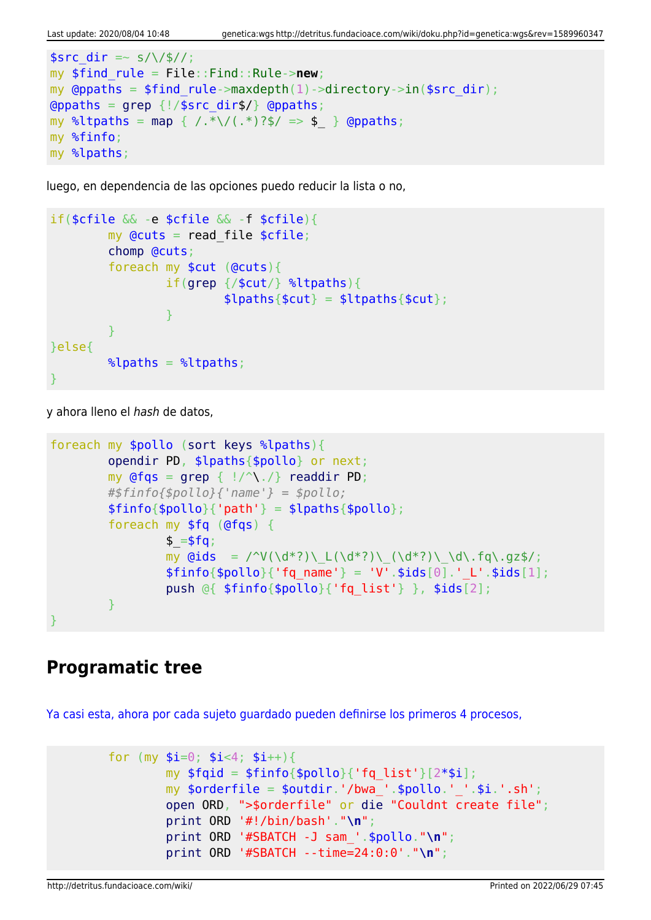```
ssrc dir =~ s/\/$//;
my $find_rule = File::Find::Rule->new;
my @ppaths = $find rule->maxdepth(1)->directory->in(%src dir);\alphagrep {!/$src dir$/} \alpha (appaths;
map { /.*\/(.*)?$/ => $ } @ppaths;
my %finfo;
my %lpaths;
```
luego, en dependencia de las opciones puedo reducir la lista o no,

```
if($cfile && -e $cfile && -f $cfile){
           my Qcuts = read file scfile;
            chomp @cuts;
            foreach my $cut (@cuts){
                        if(grep {/$cut/} %ltpaths){
                                  $lpaths{math;
and the state of the state of the state of the state of the state of the state of the state of the state of the
 }
}else{
           \lambdalpaths = \lambdaltpaths;
}
```
y ahora lleno el hash de datos,

```
foreach my $pollo (sort keys %lpaths){
           opendir PD, $lpaths{$pollo} or next;
          my grep { |}/^{\wedge}\. /readdir PD;
           #$finfo{$pollo}{'name'} = $pollo;
          $finfo{$pollo}{'vab} = $lpaths{$pollo}$; foreach my $fq (@fqs) {
                    $ = $fg;my \text{Gids} = \text{V}(\dagger^*) \left( \frac{d^*?}{d^*?} \right) \left( \frac{d^*?}{d^*?} \right) \cdot \text{d}\cdot\text{fq}\cdot\text{qz}\right);$finfo{}$pollo{}' (fq name' } = 'V'.$ids[0].' L'.$ids[1];
                     push @{ $finfo{$pollo}{'fq_list'} }, $ids[2];
 }
}
```
### **Programatic tree**

[Ya casi esta, ahora por cada sujeto guardado pueden definirse los primeros 4 procesos,](#page--1-0)

```
for (my $i=0; $i<4; $i++}{
        my $fqid = $finfo{$pollo}{'rq list'}[2*si]; my $orderfile = $outdir.'/bwa_'.$pollo.'_'.$i.'.sh';
         open ORD, ">$orderfile" or die "Couldnt create file";
         print ORD '#!/bin/bash'."\n";
         print ORD '#SBATCH -J sam_'.$pollo."\n";
         print ORD '#SBATCH --time=24:0:0'."\n";
```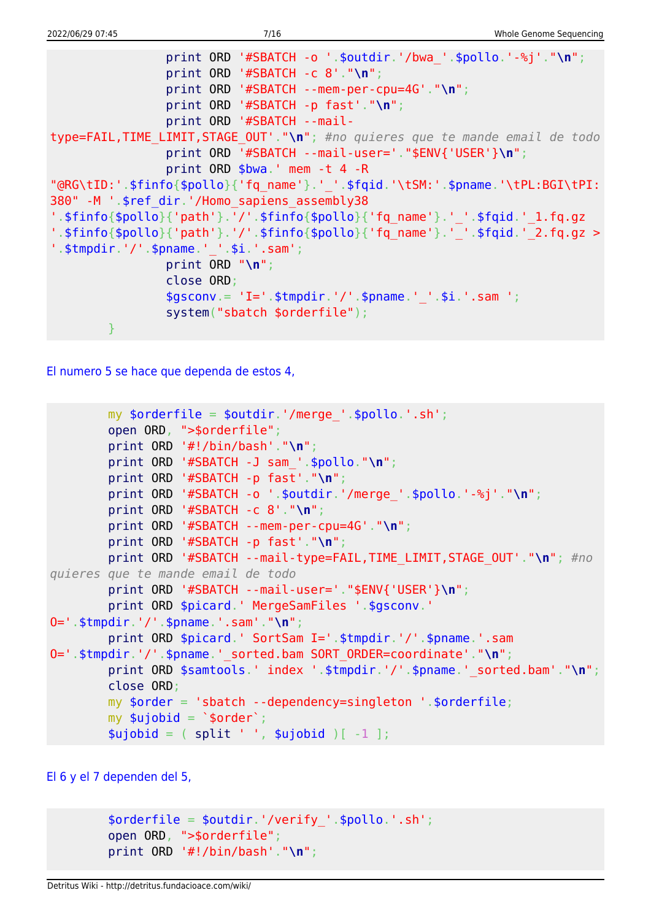```
 print ORD '#SBATCH -o '.$outdir.'/bwa_'.$pollo.'-%j'."\n";
                 print ORD '#SBATCH -c 8'."\n";
                 print ORD '#SBATCH --mem-per-cpu=4G'."\n";
                 print ORD '#SBATCH -p fast'."\n";
                 print ORD '#SBATCH --mail-
type=FAIL,TIME_LIMIT,STAGE_OUT'."\n"; #no quieres que te mande email de todo
                 print ORD '#SBATCH --mail-user='."$ENV{'USER'}\n";
                 print ORD $bwa.' mem -t 4 -R
"@RG\tID:'.$finfo{$pollo}{'fq_name'}.'_'.$fqid.'\tSM:'.$pname.'\tPL:BGI\tPI:
380" -M '.$ref_dir.'/Homo_sapiens_assembly38
'.$finfo{$pollo}{'path'}.'/'.$finfo{$pollo}{'fq_name'}.'_'.$fqid.'_1.fq.qz
'.$finfo{$pollo}{'path'}.'/'.$finfo{$pollo}{'fq_name'}.'_'.$fqid.'_2.fq.gz >
'.$tmpdir.'/'.$pname.' '.$i.'.sam';
                 print ORD "\n";
                 close ORD;
                $gsconv = 'I='.stmodir.''.$pname.''.$i.'.sam ';
                 system("sbatch $orderfile");
 }
```
[El numero 5 se hace que dependa de estos 4,](#page--1-0)

```
my \text{sortederfile} = \text{south}.'/merge '.\text{spollo}.'.sh';
         open ORD, ">$orderfile";
         print ORD '#!/bin/bash'."\n";
         print ORD '#SBATCH -J sam_'.$pollo."\n";
         print ORD '#SBATCH -p fast'."\n";
         print ORD '#SBATCH -o '.$outdir.'/merge_'.$pollo.'-%j'."\n";
         print ORD '#SBATCH -c 8'."\n";
         print ORD '#SBATCH --mem-per-cpu=4G'."\n";
         print ORD '#SBATCH -p fast'."\n";
         print ORD '#SBATCH --mail-type=FAIL,TIME_LIMIT,STAGE_OUT'."\n"; #no
quieres que te mande email de todo
         print ORD '#SBATCH --mail-user='."$ENV{'USER'}\n";
        print ORD $picard.' MergeSamFiles '.$gsconv.'
O='.$tmpdir.'/'.$pname.'.sam'."\n";
         print ORD $picard.' SortSam I='.$tmpdir.'/'.$pname.'.sam
O='.$tmpdir.'/'.$pname.'_sorted.bam SORT_ORDER=coordinate'."\n";
        print ORD $samtools.' index '.$tmpdir.'/'.$pname.' sorted.bam'."\n";
         close ORD;
         my $order = 'sbatch --dependency=singleton '.$orderfile;
        my \text{$\mathfrak{su}$jobid = '$order';}split ' ', $ujobid )[-1 ];
```
[El 6 y el 7 dependen del 5,](#page--1-0)

```
$orderfile = $outdir.'/verify'.spollo.'.sh'; open ORD, ">$orderfile";
 print ORD '#!/bin/bash'."\n";
```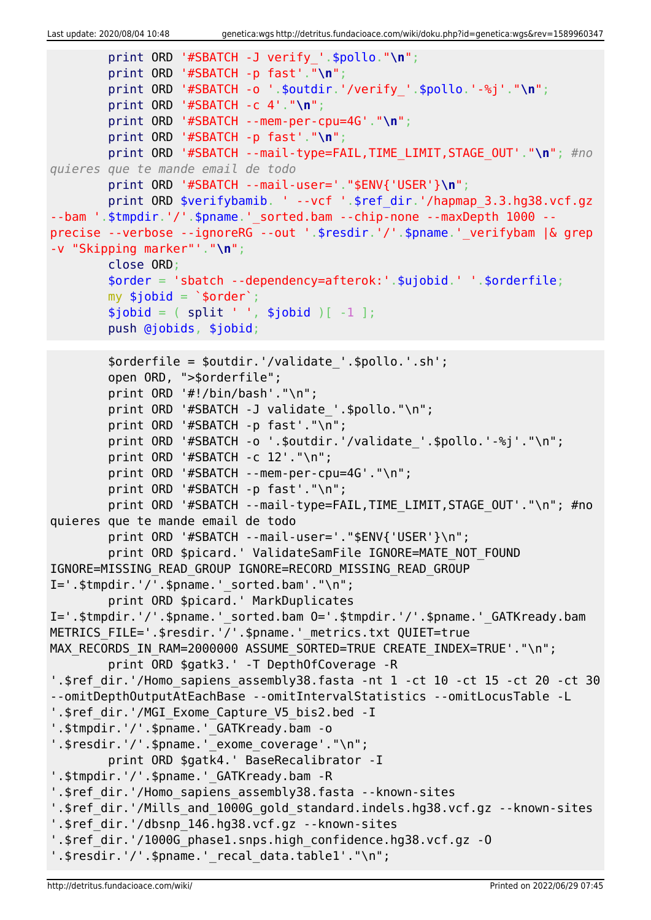```
 print ORD '#SBATCH -J verify_'.$pollo."\n";
         print ORD '#SBATCH -p fast'."\n";
         print ORD '#SBATCH -o '.$outdir.'/verify_'.$pollo.'-%j'."\n";
         print ORD '#SBATCH -c 4'."\n";
         print ORD '#SBATCH --mem-per-cpu=4G'."\n";
         print ORD '#SBATCH -p fast'."\n";
         print ORD '#SBATCH --mail-type=FAIL,TIME_LIMIT,STAGE_OUT'."\n"; #no
quieres que te mande email de todo
         print ORD '#SBATCH --mail-user='."$ENV{'USER'}\n";
        print ORD $verifybamib. ' --vcf '.$ref dir.'/hapmap 3.3.hg38.vcf.gz
--bam '.$tmpdir.'/'.$pname.'_sorted.bam --chip-none --maxDepth 1000 --
precise --verbose --ignoreRG --out '.$resdir.'/'.$pname.'_verifybam |& grep
-v "Skipping marker"'."\n";
         close ORD;
         $order = 'sbatch --dependency=afterok:'.$ujobid.' '.$orderfile;
        my $jobid = '$order';split ' ', $jobid )[-1 ]; push @jobids, $jobid;
         $orderfile = $outdir.'/validate_'.$pollo.'.sh';
         open ORD, ">$orderfile";
         print ORD '#!/bin/bash'."\n";
        print ORD '#SBATCH -J validate '.$pollo."\n";
         print ORD '#SBATCH -p fast'."\n";
         print ORD '#SBATCH -o '.$outdir.'/validate_'.$pollo.'-%j'."\n";
         print ORD '#SBATCH -c 12'."\n";
         print ORD '#SBATCH --mem-per-cpu=4G'."\n";
         print ORD '#SBATCH -p fast'."\n";
        print ORD '#SBATCH --mail-type=FAIL, TIME LIMIT, STAGE_OUT'."\n"; #no
quieres que te mande email de todo
        print ORD '#SBATCH --mail-user='."$ENV{'USER'}\n";
        print ORD $picard.' ValidateSamFile IGNORE=MATE NOT FOUND
IGNORE=MISSING_READ_GROUP IGNORE=RECORD_MISSING_READ_GROUP
I=' .$tmpdir.'/'.$pname.' sorted.bam'."\n" print ORD $picard.' MarkDuplicates
I='.$tmpdir.'/'.$pname.' sorted.bam 0='.$tmpdir.'/'.$pname.' GATKready.bam
METRICS FILE='.$resdir.'/'.$pname.' metrics.txt QUIET=true
MAX RECORDS IN RAM=2000000 ASSUME SORTED=TRUE CREATE INDEX=TRUE'."\n";
         print ORD $gatk3.' -T DepthOfCoverage -R
'.$ref dir.'/Homo sapiens_assembly38.fasta -nt 1 -ct 10 -ct 15 -ct 20 -ct 30
--omitDepthOutputAtEachBase --omitIntervalStatistics --omitLocusTable -L
'.$ref dir.'/MGI Exome Capture V5 bis2.bed -I
'.$tmpdir.'/'.$pname.'_GATKready.bam -o
'.$resdir.'/'.$pname.' exome coverage'."\n";
         print ORD $gatk4.' BaseRecalibrator -I
'.$tmpdir.'/'.$pname.' GATKready.bam -R
'.$ref dir.'/Homo sapiens assembly38.fasta --known-sites
'.$ref dir.'/Mills and 1000G gold standard.indels.hg38.vcf.gz --known-sites
'.$ref_dir.'/dbsnp_146.hg38.vcf.gz --known-sites
'.$ref_dir.'/1000G_phase1.snps.high_confidence.hg38.vcf.gz -O
'.$resdir.'/'.$pname.' recal data.table1'."\n";
```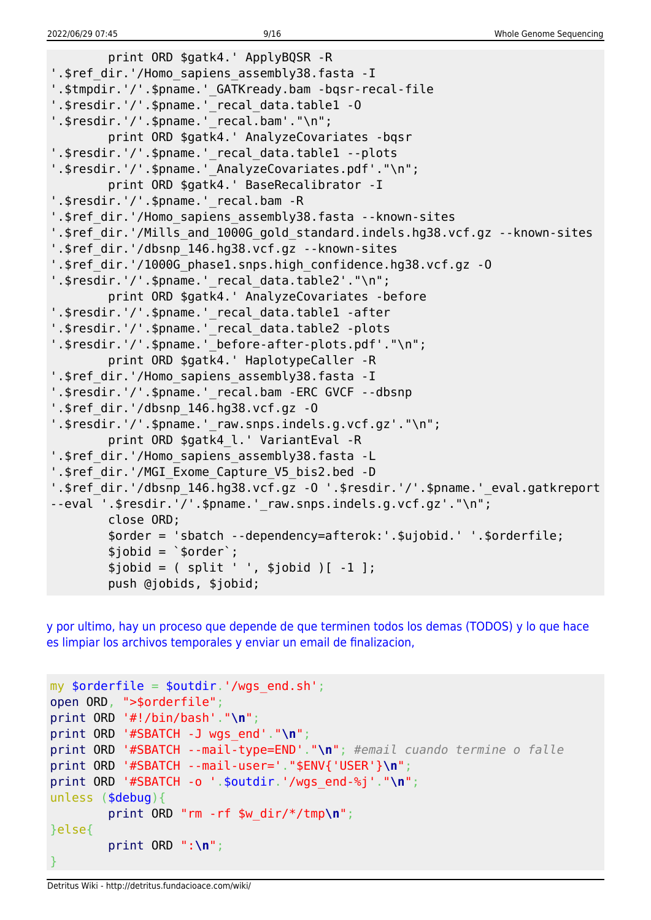```
 print ORD $gatk4.' ApplyBQSR -R
'.$ref dir.'/Homo sapiens assembly38.fasta -I
'.$tmpdir.'/'.$pname.' GATKready.bam -bqsr-recal-file
'.$resdir.'/'.$pname.' recal data.table1 -0
'.$resdir.'/'.$pname.'_recal.bam'."\n";
         print ORD $gatk4.' AnalyzeCovariates -bqsr
'.$resdir.'/'.$pname.'_recal_data.table1 --plots
'.$resdir.'/'.$pname.' AnalyzeCovariates.pdf'."\n";
         print ORD $gatk4.' BaseRecalibrator -I
'.$resdir.'/'.$pname.' recal.bam -R
'.$ref dir.'/Homo sapiens assembly38.fasta --known-sites
'.$ref dir.'/Mills and 1000G gold standard.indels.hg38.vcf.gz --known-sites
'.$ref_dir.'/dbsnp_146.hg38.vcf.gz --known-sites
'.$ref_dir.'/1000G_phase1.snps.high_confidence.hg38.vcf.gz -O
'.$resdir.'/'.$pname.' recal data.table2'."\n";
         print ORD $gatk4.' AnalyzeCovariates -before
'.$resdir.'/'.$pname.'_recal_data.table1 -after
'.$resdir.'/'.$pname.' recal data.table2 -plots
'.$resdir.'/'.$pname.' before-after-plots.pdf'."\n";
         print ORD $gatk4.' HaplotypeCaller -R
'.$ref dir.'/Homo sapiens assembly38.fasta -I
'.$resdir.'/'.$pname.'_recal.bam -ERC GVCF --dbsnp
'.$ref_dir.'/dbsnp_146.hg38.vcf.gz -O
'.$resdir.'/'.$pname.'_raw.snps.indels.g.vcf.gz'."\n";
         print ORD $gatk4_l.' VariantEval -R
'.$ref_dir.'/Homo_sapiens_assembly38.fasta -L
'.$ref_dir.'/MGI_Exome_Capture_V5_bis2.bed -D
'.$ref_dir.'/dbsnp_146.hg38.vcf.gz -O '.$resdir.'/'.$pname.'_eval.gatkreport
--eval '.$resdir.'/'.$pname.' raw.snps.indels.g.vcf.gz'."\n";
         close ORD;
         $order = 'sbatch --dependency=afterok:'.$ujobid.' '.$orderfile;
        $jobid = 'sorder';$jobid = ( split ' ', $jobid )[-1 ]; push @jobids, $jobid;
```
[y por ultimo, hay un proceso que depende de que terminen todos los demas \(TODOS\) y lo que hace](#page--1-0) [es limpiar los archivos temporales y enviar un email de finalizacion,](#page--1-0)

```
my $orderfile = $outdir.'/wqs end.sh';
open ORD, ">$orderfile";
print ORD '#!/bin/bash'."\n";
print ORD '#SBATCH -J wgs_end'."\n";
print ORD '#SBATCH --mail-type=END'."\n"; #email cuando termine o falle
print ORD '#SBATCH --mail-user='."$ENV{'USER'}\n";
print ORD '#SBATCH -o '.$outdir.'/wgs_end-%j'."\n";
unless ($debug){
         print ORD "rm -rf $w_dir/*/tmp\n";
}else{
         print ORD ":\n";
}
```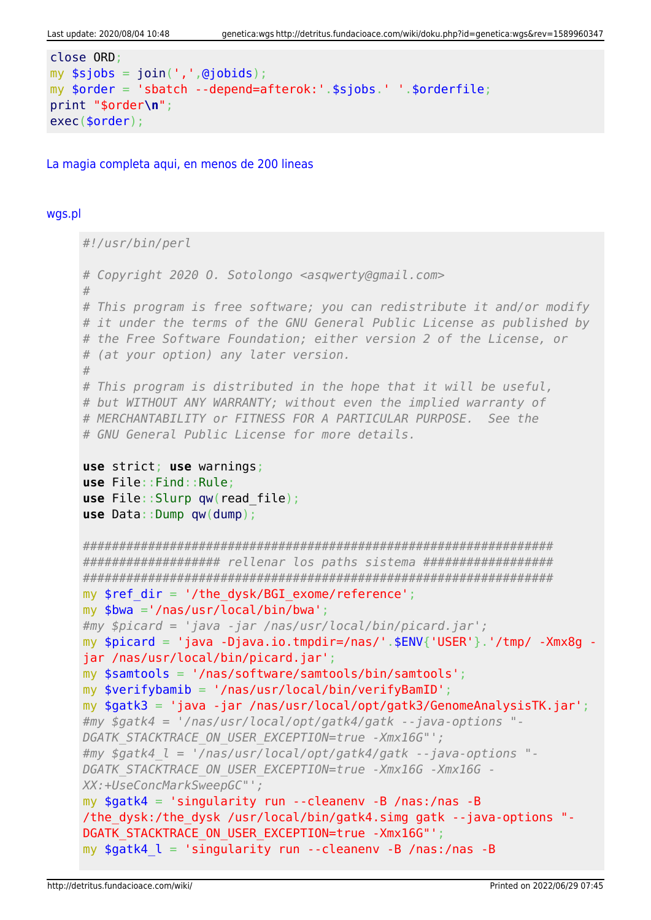```
close ORD:
my $sjobs = join(',',@jobids);
my $order = 'sbatch --depend=afterok:'.$sjobs.' '.$orderfile;
print "$order\n";
exec(<code>border)</code>;
```
La magia completa agui, en menos de 200 lineas

#### wgs.pl

```
#!/usr/bin/perl
# Copyright 2020 O. Sotolongo <asqwerty@gmail.com>
## This program is free software; you can redistribute it and/or modify
# it under the terms of the GNU General Public License as published by
# the Free Software Foundation; either version 2 of the License, or
# (at your option) any later version.
## This program is distributed in the hope that it will be useful,
# but WITHOUT ANY WARRANTY; without even the implied warranty of
# MERCHANTABILITY or FITNESS FOR A PARTICULAR PURPOSE. See the
# GNU General Public License for more details.
use strict; use warnings;
use File:: Find:: Rule;
use File::Slurp qw(read file);use Data::Dump qw(dump);
################### rellenar los paths sistema ###################
mv $ref dir = '/the dvsk/BGI exome/reference':
my $bwa ='/nas/usr/local/bin/bwa';
#my $picard = 'java -jar /nas/usr/local/bin/picard.jar';
my $picard = 'java -Djava.io.tmpdir=/nas/'.$ENV{'USER'}.'/tmp/ -Xmx8q -
jar /nas/usr/local/bin/picard.jar';
my $samtools = '/nas/software/samtools/bin/samtools';
my $verifybamib = '/nas/usr/local/bin/verifyBamID';
my $gatk3 = 'java -jar /nas/usr/local/opt/gatk3/GenomeAnalysisTK.jar';#my $gatk4 = '/nas/usr/local/opt/gatk4/gatk --java-options "-
DGATK STACKTRACE ON USER EXCEPTION=true -Xmx16G"';
\#my $gatk4 l = '/nas/usr/local/opt/gatk4/gatk --java-options "-
DGATK STACKTRACE ON USER EXCEPTION=true -Xmx16G -Xmx16G -
XX:+UseConcMarkSweepGC"';
my $gatk4 = 'singularity run --cleanenv -B /nas:/nas -B/the dysk:/the dysk /usr/local/bin/gatk4.simg gatk --java-options "-
DGATK STACKTRACE ON USER EXCEPTION=true -Xmx16G"';
my $gatk4 \, l = 'singularity run --cleanenv -B /nas:/nas -B
```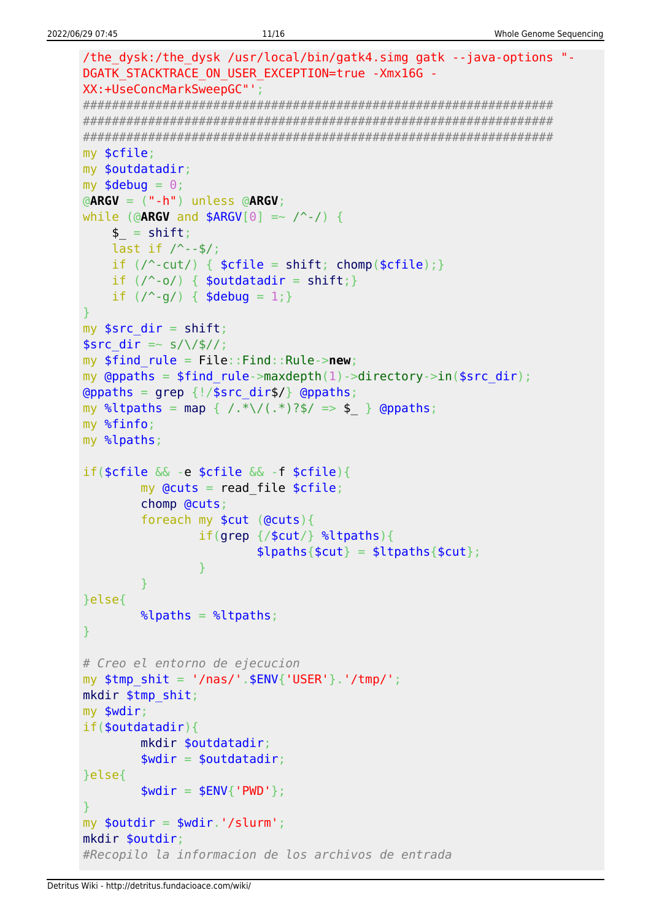```
/the dysk:/the dysk /usr/local/bin/gatk4.simg gatk --java-options "-
DGATK STACKTRACE ON USER EXCEPTION=true -Xmx16G -
XX:+UseConcMarkSweepGC"';
my $cfile;
my $outdatadir;
my $debug = 0;\triangleARGV = (" - h") unless \triangleARGV;
while (@ARGV and $ARGV[0] =~ \wedge -/) {
   $ = shift;last if / --$/;
   if (\wedge-cut/) { \text{scfile} = \text{shift}; chomp(\text{scfile}); }
   if (\wedge \neg \circ \wedge) { $outdatadir = shift; }
   if (\frac{9}{9}) { $debug = 1; }
my $src dir = shift;
$src dir = \sim s/\/$//;
my $find rule = File::Find::Rule->new;my @ppaths = $find rule->maxdepth(1)->directory->in($src dir);
\Thetappaths = grep {!/$src_dir$/} \Thetappaths;
my %ltpaths = map { /.*\/(.*)?$/ => $ } @ppaths;
my %finfo;
my %lpaths;
if(\frac{2}{3}cfile \& -e \frac{2}{3}cfile \& -f \frac{2}{3}cfile)my Qcuts = read file $cfile;chomp @cuts;
        foreach my $cut (@cuts) {
               if(qrep / $cut/} %ltpaths){
                       \{[paths{$cut} = $ltpaths{$cut};
               \mathcal{F}}else{
       \lambdalpaths = \lambdaltpaths;
# Creo el entorno de ejecucion
my $tmp shift = '/nas/'.$ENV{''USER'}'.'tmp/';mkdir $tmp shit;
my $wdir;
if(<b>soundatadir</b>)mkdir $outdatadir;
        $width = 5outdatadir;}else{
       $width = $ENV{'}}' PWD'};my $outdir = $wdir.'/slurm';
mkdir $outdir:
#Recopilo la informacion de los archivos de entrada
```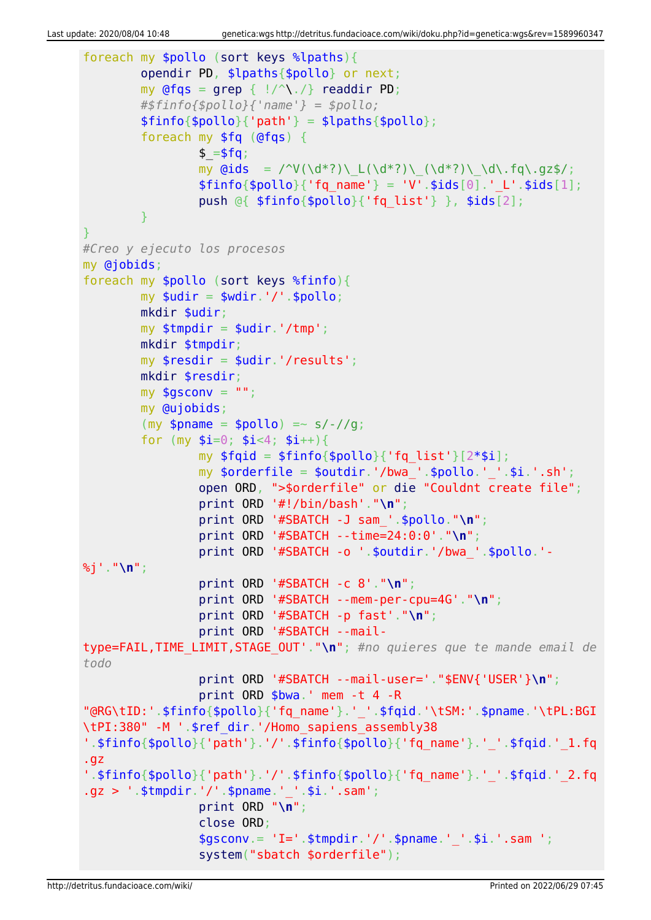```
foreach my $pollo (sort keys %lpaths){
          opendir PD, $lpaths{$pollo} or next;
         my @fqs = qrep { |}/^{\wedge}readdir PD;
          #$finfo{$pollo}{'name'} = $pollo;
         $finfo{$pollo}{'parh'} = $lpaths{$pollo}; foreach my $fq (@fqs) {
                  $ = $fg;my \ddot{\text{Gids}} = \frac{\text{V}(\ddot{\text{d}}^*)\left(\frac{d^*}{\text{d}}\right)\left(\frac{d^*}{\text{d}}\right)\left(\frac{d^*}{\text{d}}\right)}{\text{d}^*}$finfo{$pollo}{'rq name'} = 'V'.$ids[0].' L'.$ids[1]; push @{ $finfo{$pollo}{'fq_list'} }, $ids[2];
 }
}
#Creo y ejecuto los procesos
my @jobids;
foreach my $pollo (sort keys %finfo){
         mv $udir = $wdir.'/'.$pollo:
          mkdir $udir;
         my $tmpdir = $udir.'/tmp'; mkdir $tmpdir;
         my $resdir = $udir.'/results';
          mkdir $resdir;
        my $gsconv = " ";
          my @ujobids;
         (my $pname = $pollo) =~ s/-//g;
         for (my $i=0; $i<4; $i++){}my $fqid = $finfo{$pollo}{'fg list'}[2*$i];my \text{porderfile} = \text{poutdir.}'/\text{bwa}. \text{pollo.}''.'.\text{si.}'.s\text{h'};
                  open ORD, ">$orderfile" or die "Couldnt create file";
                  print ORD '#!/bin/bash'."\n";
                  print ORD '#SBATCH -J sam_'.$pollo."\n";
                   print ORD '#SBATCH --time=24:0:0'."\n";
                  print ORD '#SBATCH -o '.$outdir.'/bwa_'.$pollo.'-
%j'."\n";
                  print ORD '#SBATCH -c 8'."\n";
                  print ORD '#SBATCH --mem-per-cpu=4G'."\n";
                  print ORD '#SBATCH -p fast'."\n";
                  print ORD '#SBATCH --mail-
type=FAIL,TIME_LIMIT,STAGE_OUT'."\n"; #no quieres que te mande email de
todo
                  print ORD '#SBATCH --mail-user='."$ENV{'USER'}\n";
                  print ORD $bwa.' mem -t 4 -R
"@RG\tID:'.$finfo{$pollo}{'fq_name'}.'_'.$fqid.'\tSM:'.$pname.'\tPL:BGI
\tPI:380" -M '.$ref_dir.'/Homo_sapiens_assembly38
'.$finfo{$pollo}{'path'}.'/'.$finfo{$pollo}{'fq_name'}.'_'.$fqid.'_1.fq
.gz
'.$finfo{$pollo}{'path'}.'/'.$finfo{$pollo}{'fq_name'}.'_'.$fqid.'_2.fq
.gz > '.$tmpdir.'/'.$pname.'_'.$i.'.sam';
                  print ORD "\n";
                   close ORD;
                  $gsconv = 'I='. $tmodir.'/'.$pname.''.§i.'.sam '; system("sbatch $orderfile");
```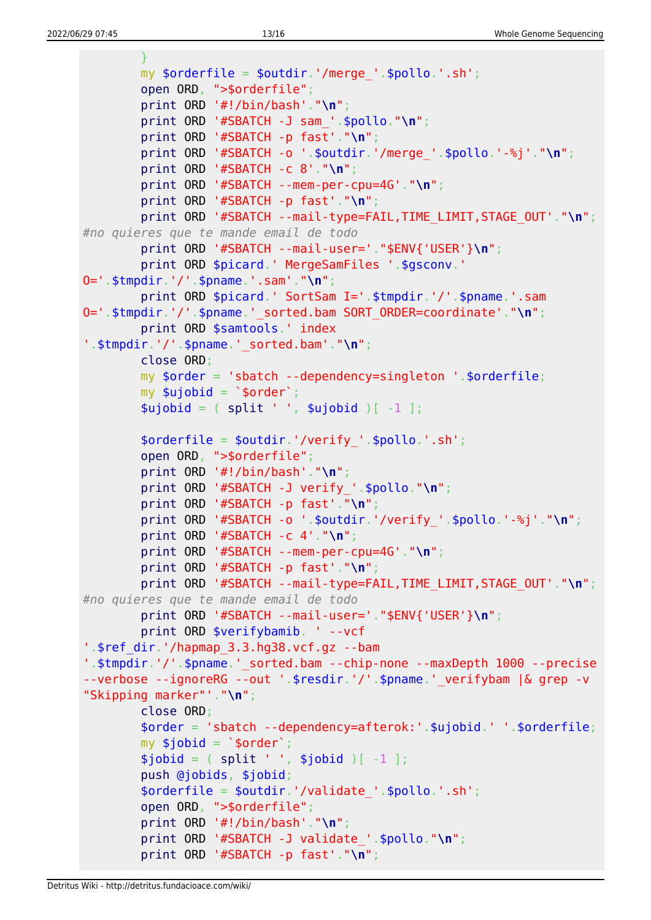```
 }
         my $orderfile = $outdir.'/merge_'.$pollo.'.sh';
         open ORD, ">$orderfile";
         print ORD '#!/bin/bash'."\n";
         print ORD '#SBATCH -J sam_'.$pollo."\n";
         print ORD '#SBATCH -p fast'."\n";
         print ORD '#SBATCH -o '.$outdir.'/merge_'.$pollo.'-%j'."\n";
         print ORD '#SBATCH -c 8'."\n";
         print ORD '#SBATCH --mem-per-cpu=4G'."\n";
         print ORD '#SBATCH -p fast'."\n";
         print ORD '#SBATCH --mail-type=FAIL,TIME_LIMIT,STAGE_OUT'."\n";
#no quieres que te mande email de todo
         print ORD '#SBATCH --mail-user='."$ENV{'USER'}\n";
         print ORD $picard.' MergeSamFiles '.$gsconv.'
O='.$tmpdir.'/'.$pname.'.sam'."\n";
         print ORD $picard.' SortSam I='.$tmpdir.'/'.$pname.'.sam
O='.$tmpdir.'/'.$pname.'_sorted.bam SORT_ORDER=coordinate'."\n";
         print ORD $samtools.' index
'.$tmpdir.'/'.$pname.'_sorted.bam'."\n";
         close ORD;
         my $order = 'sbatch --dependency=singleton '.$orderfile;
        my $ujobid = `$order';split ' ', $ujobid )[-1 ]; $orderfile = $outdir.'/verify_'.$pollo.'.sh';
         open ORD, ">$orderfile";
         print ORD '#!/bin/bash'."\n";
         print ORD '#SBATCH -J verify_'.$pollo."\n";
         print ORD '#SBATCH -p fast'."\n";
         print ORD '#SBATCH -o '.$outdir.'/verify_'.$pollo.'-%j'."\n";
         print ORD '#SBATCH -c 4'."\n";
         print ORD '#SBATCH --mem-per-cpu=4G'."\n";
         print ORD '#SBATCH -p fast'."\n";
         print ORD '#SBATCH --mail-type=FAIL,TIME_LIMIT,STAGE_OUT'."\n";
#no quieres que te mande email de todo
         print ORD '#SBATCH --mail-user='."$ENV{'USER'}\n";
         print ORD $verifybamib. ' --vcf
'.$ref_dir.'/hapmap_3.3.hg38.vcf.gz --bam
'.$tmpdir.'/'.$pname.' sorted.bam --chip-none --maxDepth 1000 --precise
--verbose --ignoreRG --out '.$resdir.'/'.$pname.' verifybam |& grep -v
"Skipping marker"'."\n";
         close ORD;
         $order = 'sbatch --dependency=afterok:'.$ujobid.' '.$orderfile;
        my $jobid = `$order';split ' ', $jobid )[-1 ]; push @jobids, $jobid;
         $orderfile = $outdir.'/validate_'.$pollo.'.sh';
         open ORD, ">$orderfile";
         print ORD '#!/bin/bash'."\n";
         print ORD '#SBATCH -J validate_'.$pollo."\n";
         print ORD '#SBATCH -p fast'."\n";
```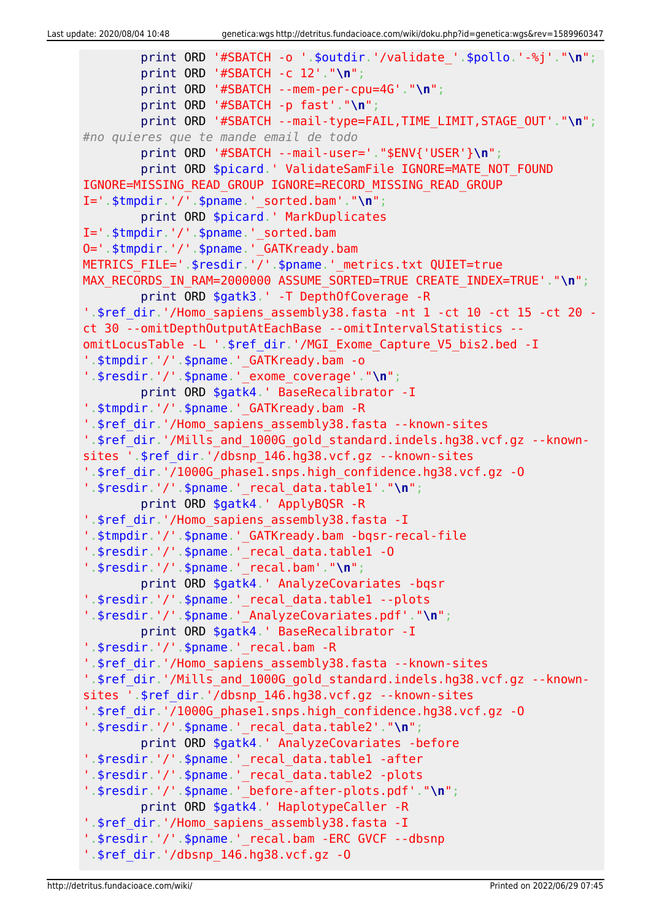```
 print ORD '#SBATCH -o '.$outdir.'/validate_'.$pollo.'-%j'."\n";
         print ORD '#SBATCH -c 12'."\n";
         print ORD '#SBATCH --mem-per-cpu=4G'."\n";
         print ORD '#SBATCH -p fast'."\n";
         print ORD '#SBATCH --mail-type=FAIL,TIME_LIMIT,STAGE_OUT'."\n";
#no quieres que te mande email de todo
         print ORD '#SBATCH --mail-user='."$ENV{'USER'}\n";
        print ORD $picard.' ValidateSamFile IGNORE=MATE NOT FOUND
IGNORE=MISSING_READ_GROUP IGNORE=RECORD_MISSING_READ_GROUP
I='.$tmpdir.'/'.$pname.'_sorted.bam'."\n";
         print ORD $picard.' MarkDuplicates
I='.$tmpdir.'/'.$pname.' sorted.bam
O='.$tmpdir.'/'.$pname.'_GATKready.bam
METRICS_FILE='.$resdir.'/'.$pname.'_metrics.txt QUIET=true
MAX RECORDS IN RAM=2000000 ASSUME SORTED=TRUE CREATE INDEX=TRUE'."\n";
         print ORD $gatk3.' -T DepthOfCoverage -R
'.$ref dir.'/Homo sapiens assembly38.fasta -nt 1 -ct 10 -ct 15 -ct 20 -
ct 30 --omitDepthOutputAtEachBase --omitIntervalStatistics --
omitLocusTable -L '.$ref_dir.'/MGI_Exome_Capture_V5_bis2.bed -I
'.$tmpdir.'/'.$pname.'_GATKready.bam -o
'.$resdir.'/'.$pname.'_exome_coverage'."\n";
         print ORD $gatk4.' BaseRecalibrator -I
'.$tmpdir.'/'.$pname.' GATKready.bam -R
'.$ref dir.'/Homo sapiens assembly38.fasta --known-sites
'.$ref_dir.'/Mills_and_1000G_gold_standard.indels.hg38.vcf.gz --known-
sites '.$ref_dir.'/dbsnp_146.hg38.vcf.gz --known-sites
'.$ref_dir.'/1000G_phase1.snps.high_confidence.hg38.vcf.gz -O
'.$resdir.'/'.$pname.'_recal_data.table1'."\n";
         print ORD $gatk4.' ApplyBQSR -R
'.$ref_dir.'/Homo_sapiens_assembly38.fasta -I
'.$tmpdir.'/'.$pname.'_GATKready.bam -bqsr-recal-file
'.$resdir.'/'.$pname.'_recal_data.table1 -O
'.$resdir.'/'.$pname.'_recal.bam'."\n";
         print ORD $gatk4.' AnalyzeCovariates -bqsr
'.$resdir.'/'.$pname.'_recal_data.table1 --plots
'.$resdir.'/'.$pname.'_AnalyzeCovariates.pdf'."\n";
         print ORD $gatk4.' BaseRecalibrator -I
'.$resdir.'/'.$pname.'_recal.bam -R
'.$ref_dir.'/Homo_sapiens_assembly38.fasta --known-sites
'.$ref_dir.'/Mills_and_1000G_gold_standard.indels.hg38.vcf.gz --known-
sites '.$ref_dir.'/dbsnp_146.hg38.vcf.gz --known-sites
'.$ref_dir.'/1000G_phase1.snps.high_confidence.hg38.vcf.gz -O
'.$resdir.'/'.$pname.'_recal_data.table2'."\n";
         print ORD $gatk4.' AnalyzeCovariates -before
'.$resdir.'/'.$pname.'_recal_data.table1 -after
'.$resdir.'/'.$pname.'_recal_data.table2 -plots
'.$resdir.'/'.$pname.'_before-after-plots.pdf'."\n";
         print ORD $gatk4.' HaplotypeCaller -R
'.$ref dir.'/Homo sapiens assembly38.fasta -I
'.$resdir.'/'.$pname.'_recal.bam -ERC GVCF --dbsnp
'.$ref_dir.'/dbsnp_146.hg38.vcf.gz -O
```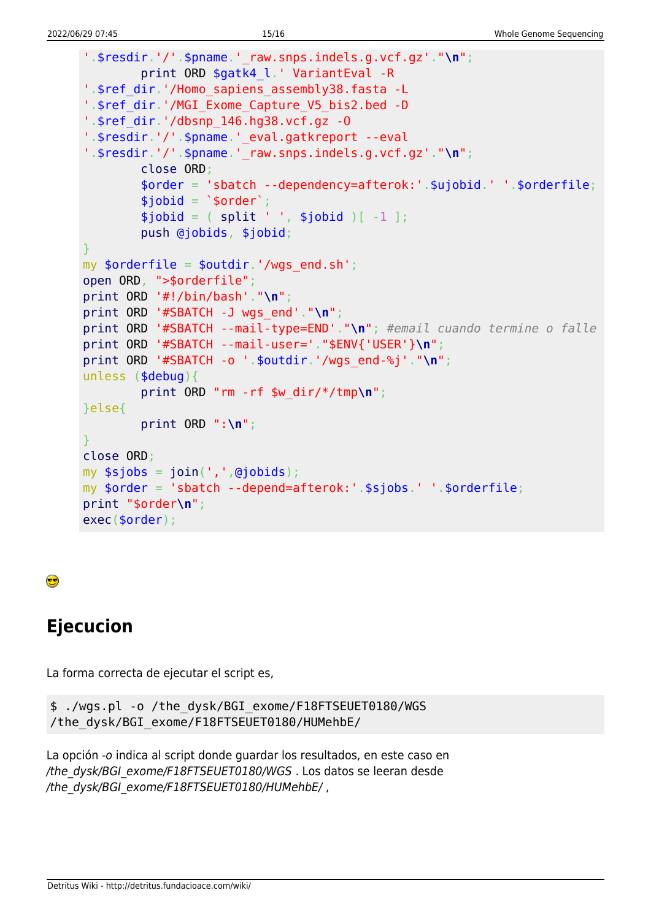```
'.$resdir.'/'.$pname.' raw.snps.index.org.vcf.g.'."\\n'';print ORD $gatk4_l.' VariantEval -R
'.$ref dir.'/Homo sapiens assembly38.fasta -L
'.$ref dir.'/MGI Exome Capture V5 bis2.bed -D
'.$ref dir.'/dbsnp 146.hg38.vcf.gz -0
'.$resdir.'/'.$pname.' eval.gatkreport --eval
'.$resdir.''/'.$pname.'\negraw.snps.indels.g.vcf.gz'."\n";
        close ORD;
        \$order = 'sbatch -- dependency=afterok:'.$ujobid.''.sorderfile;$jobid = '$order';$jobid = (split ' ', $jobid )[-1 ];push @jobids, $jobid;
my $orderfile = $outdir.'/wqs end.sh';
open ORD, ">$orderfile";
print ORD '#!/bin/bash'."\n":
print ORD '#SBATCH -J wgs_end'."\n";
print ORD '#SBATCH --mail-type=END'."\n"; #email cuando termine o falle
print ORD '#SBATCH --mail-user='."$ENV{'USER'}\n";
print ORD '#SBATCH -o '.$outdir.'/wgs_end-%j'."\n";
unless (\$debug) {
        print ORD "rm - rf $w-dir/*/tmp\n";
}else{
        print ORD ":\n\cdot\mathbb{R}";
close ORD;
my $sjobs = join(','',@jobids);my $order = 'sbatch --depend=afterok:'.$sjobs.' '.$orderfile;
print "$order\n";
exec($order);
```
### ●

# **Ejecucion**

La forma correcta de ejecutar el script es,

```
$ ./wqs.pl -o /the dysk/BGI exome/F18FTSEUET0180/WGS
/the dysk/BGI exome/F18FTSEUET0180/HUMehbE/
```
La opción -o indica al script donde guardar los resultados, en este caso en /the dysk/BGI exome/F18FTSEUET0180/WGS. Los datos se leeran desde /the dysk/BGI exome/F18FTSEUET0180/HUMehbE/,